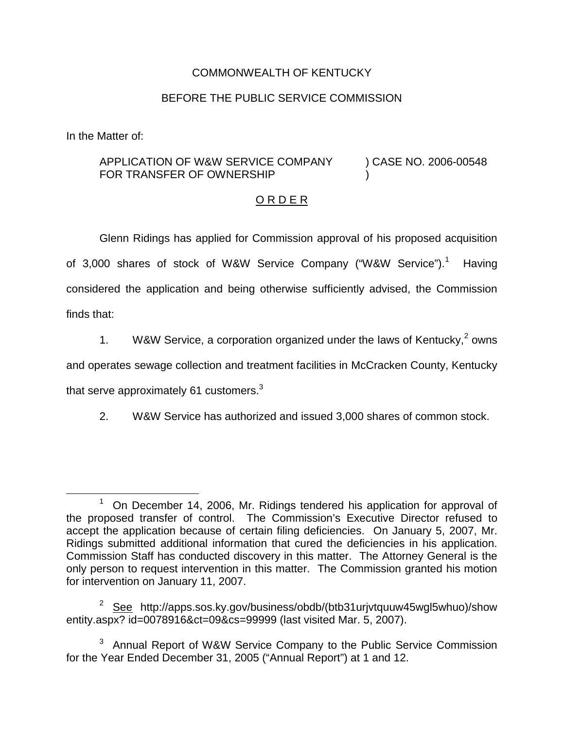## COMMONWEALTH OF KENTUCKY

## BEFORE THE PUBLIC SERVICE COMMISSION

In the Matter of:

## APPLICATION OF W&W SERVICE COMPANY FOR TRANSFER OF OWNERSHIP ) CASE NO. 2006-00548 )

## O R D E R

Glenn Ridings has applied for Commission approval of his proposed acquisition of 3,000 shares of stock of W&W Service Company ("W&W Service").<sup>1</sup> Having considered the application and being otherwise sufficiently advised, the Commission finds that:

1. W&W Service, a corporation organized under the laws of Kentucky,  $2$  owns

and operates sewage collection and treatment facilities in McCracken County, Kentucky

that serve approximately 61 customers. $3$ 

2. W&W Service has authorized and issued 3,000 shares of common stock.

 $1$  On December 14, 2006, Mr. Ridings tendered his application for approval of the proposed transfer of control. The Commission's Executive Director refused to accept the application because of certain filing deficiencies. On January 5, 2007, Mr. Ridings submitted additional information that cured the deficiencies in his application. Commission Staff has conducted discovery in this matter. The Attorney General is the only person to request intervention in this matter. The Commission granted his motion for intervention on January 11, 2007.

<sup>&</sup>lt;sup>2</sup> See http://apps.sos.ky.gov/business/obdb/(btb31urjvtquuw45wgl5whuo)/show entity.aspx? id=0078916&ct=09&cs=99999 (last visited Mar. 5, 2007).

<sup>&</sup>lt;sup>3</sup> Annual Report of W&W Service Company to the Public Service Commission for the Year Ended December 31, 2005 ("Annual Report") at 1 and 12.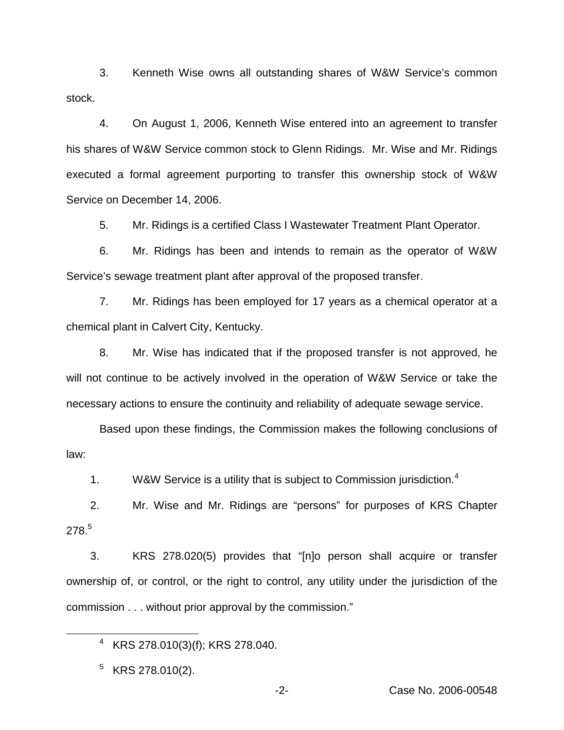3. Kenneth Wise owns all outstanding shares of W&W Service's common stock.

4. On August 1, 2006, Kenneth Wise entered into an agreement to transfer his shares of W&W Service common stock to Glenn Ridings. Mr. Wise and Mr. Ridings executed a formal agreement purporting to transfer this ownership stock of W&W Service on December 14, 2006.

5. Mr. Ridings is a certified Class I Wastewater Treatment Plant Operator.

6. Mr. Ridings has been and intends to remain as the operator of W&W Service's sewage treatment plant after approval of the proposed transfer.

7. Mr. Ridings has been employed for 17 years as a chemical operator at a chemical plant in Calvert City, Kentucky.

8. Mr. Wise has indicated that if the proposed transfer is not approved, he will not continue to be actively involved in the operation of W&W Service or take the necessary actions to ensure the continuity and reliability of adequate sewage service.

Based upon these findings, the Commission makes the following conclusions of law:

1. W&W Service is a utility that is subject to Commission jurisdiction.<sup>4</sup>

2. Mr. Wise and Mr. Ridings are "persons" for purposes of KRS Chapter 278.5

3. KRS 278.020(5) provides that "[n]o person shall acquire or transfer ownership of, or control, or the right to control, any utility under the jurisdiction of the commission . . . without prior approval by the commission."

<sup>4</sup> KRS 278.010(3)(f); KRS 278.040.

 $5$  KRS 278.010(2).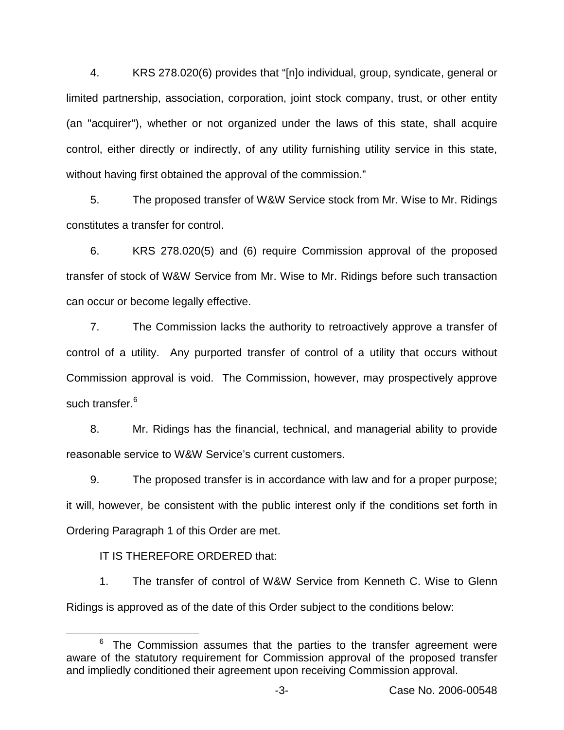4. KRS 278.020(6) provides that "[n]o individual, group, syndicate, general or limited partnership, association, corporation, joint stock company, trust, or other entity (an "acquirer"), whether or not organized under the laws of this state, shall acquire control, either directly or indirectly, of any utility furnishing utility service in this state, without having first obtained the approval of the commission."

5. The proposed transfer of W&W Service stock from Mr. Wise to Mr. Ridings constitutes a transfer for control.

6. KRS 278.020(5) and (6) require Commission approval of the proposed transfer of stock of W&W Service from Mr. Wise to Mr. Ridings before such transaction can occur or become legally effective.

7. The Commission lacks the authority to retroactively approve a transfer of control of a utility. Any purported transfer of control of a utility that occurs without Commission approval is void. The Commission, however, may prospectively approve such transfer.<sup>6</sup>

8. Mr. Ridings has the financial, technical, and managerial ability to provide reasonable service to W&W Service's current customers.

9. The proposed transfer is in accordance with law and for a proper purpose; it will, however, be consistent with the public interest only if the conditions set forth in Ordering Paragraph 1 of this Order are met.

IT IS THEREFORE ORDERED that:

1. The transfer of control of W&W Service from Kenneth C. Wise to Glenn Ridings is approved as of the date of this Order subject to the conditions below:

 $6$  The Commission assumes that the parties to the transfer agreement were aware of the statutory requirement for Commission approval of the proposed transfer and impliedly conditioned their agreement upon receiving Commission approval.